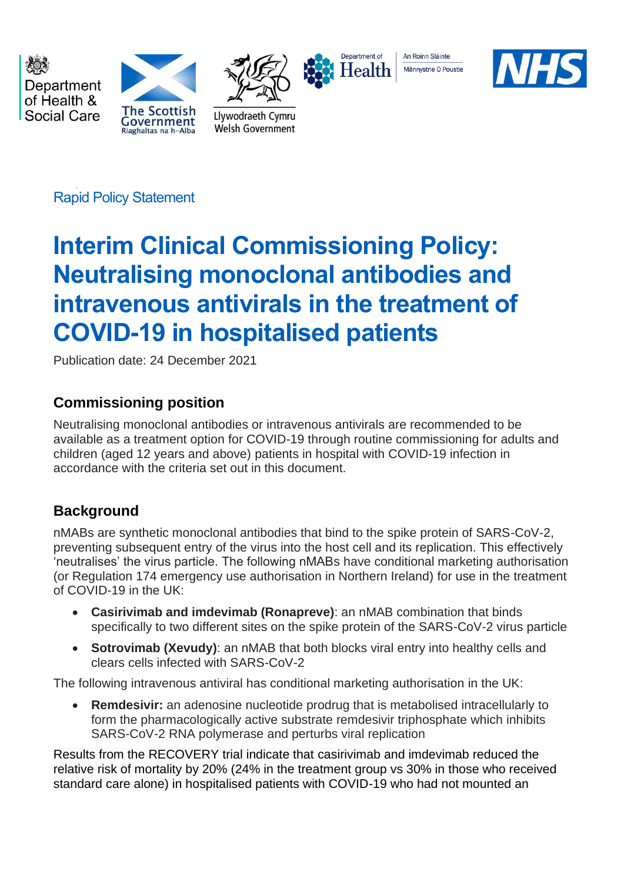Department of Health & Social Care





Llywodraeth Cymru

Welsh Government



An Roinn Sláinte Männystrie O Poustie



Rapid Policy Statement

# **Interim Clinical Commissioning Policy: Neutralising monoclonal antibodies and intravenous antivirals in the treatment of COVID-19 in hospitalised patients**

Publication date: 24 December 2021

# **Commissioning position**

Neutralising monoclonal antibodies or intravenous antivirals are recommended to be available as a treatment option for COVID-19 through routine commissioning for adults and children (aged 12 years and above) patients in hospital with COVID-19 infection in accordance with the criteria set out in this document.

# **Background**

nMABs are synthetic monoclonal antibodies that bind to the spike protein of SARS-CoV-2, preventing subsequent entry of the virus into the host cell and its replication. This effectively 'neutralises' the virus particle. The following nMABs have conditional marketing authorisation (or Regulation 174 emergency use authorisation in Northern Ireland) for use in the treatment of COVID-19 in the UK:

- **Casirivimab and imdevimab (Ronapreve)**: an nMAB combination that binds specifically to two different sites on the spike protein of the SARS-CoV-2 virus particle
- **Sotrovimab (Xevudy)**: an nMAB that both blocks viral entry into healthy cells and clears cells infected with SARS-CoV-2

The following intravenous antiviral has conditional marketing authorisation in the UK:

• **Remdesivir:** an adenosine nucleotide prodrug that is metabolised intracellularly to form the pharmacologically active substrate remdesivir triphosphate which inhibits SARS-CoV-2 RNA polymerase and perturbs viral replication

Results from the RECOVERY trial indicate that casirivimab and imdevimab reduced the relative risk of mortality by 20% (24% in the treatment group vs 30% in those who received standard care alone) in hospitalised patients with COVID-19 who had not mounted an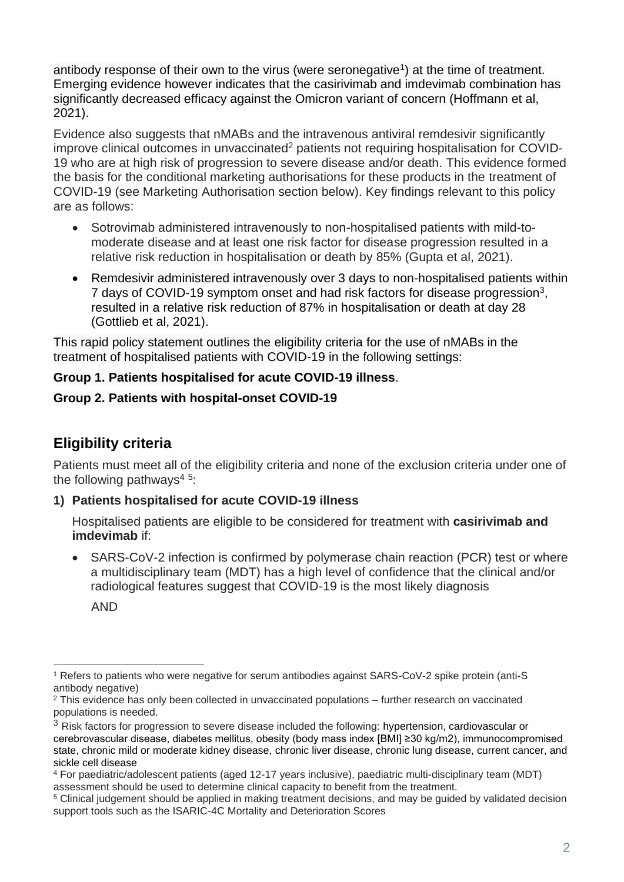antibody response of their own to the virus (were seronegative<sup>1</sup>) at the time of treatment. Emerging evidence however indicates that the casirivimab and imdevimab combination has significantly decreased efficacy against the Omicron variant of concern (Hoffmann et al, 2021).

Evidence also suggests that nMABs and the intravenous antiviral remdesivir significantly improve clinical outcomes in unvaccinated<sup>2</sup> patients not requiring hospitalisation for COVID-19 who are at high risk of progression to severe disease and/or death. This evidence formed the basis for the conditional marketing authorisations for these products in the treatment of COVID-19 (see Marketing Authorisation section below). Key findings relevant to this policy are as follows:

- Sotrovimab administered intravenously to non-hospitalised patients with mild-tomoderate disease and at least one risk factor for disease progression resulted in a relative risk reduction in hospitalisation or death by 85% (Gupta et al, 2021).
- Remdesivir administered intravenously over 3 days to non-hospitalised patients within 7 days of COVID-19 symptom onset and had risk factors for disease progression<sup>3</sup>, resulted in a relative risk reduction of 87% in hospitalisation or death at day 28 (Gottlieb et al, 2021).

This rapid policy statement outlines the eligibility criteria for the use of nMABs in the treatment of hospitalised patients with COVID-19 in the following settings:

# **Group 1. Patients hospitalised for acute COVID-19 illness**.

## **Group 2. Patients with hospital-onset COVID-19**

# **Eligibility criteria**

Patients must meet all of the eligibility criteria and none of the exclusion criteria under one of the following pathways<sup>45</sup>:

# **1) Patients hospitalised for acute COVID-19 illness**

Hospitalised patients are eligible to be considered for treatment with **casirivimab and imdevimab** if:

• SARS-CoV-2 infection is confirmed by polymerase chain reaction (PCR) test or where a multidisciplinary team (MDT) has a high level of confidence that the clinical and/or radiological features suggest that COVID-19 is the most likely diagnosis

AND

<sup>1</sup> Refers to patients who were negative for serum antibodies against SARS-CoV-2 spike protein (anti-S antibody negative)

 $2$  This evidence has only been collected in unvaccinated populations  $-$  further research on vaccinated populations is needed.

<sup>&</sup>lt;sup>3</sup> Risk factors for progression to severe disease included the following: hypertension, cardiovascular or cerebrovascular disease, diabetes mellitus, obesity (body mass index [BMI] ≥30 kg/m2), immunocompromised state, chronic mild or moderate kidney disease, chronic liver disease, chronic lung disease, current cancer, and sickle cell disease

<sup>4</sup> For paediatric/adolescent patients (aged 12-17 years inclusive), paediatric multi-disciplinary team (MDT) assessment should be used to determine clinical capacity to benefit from the treatment.

<sup>5</sup> Clinical judgement should be applied in making treatment decisions, and may be guided by validated decision support tools such as the ISARIC-4C Mortality and Deterioration Scores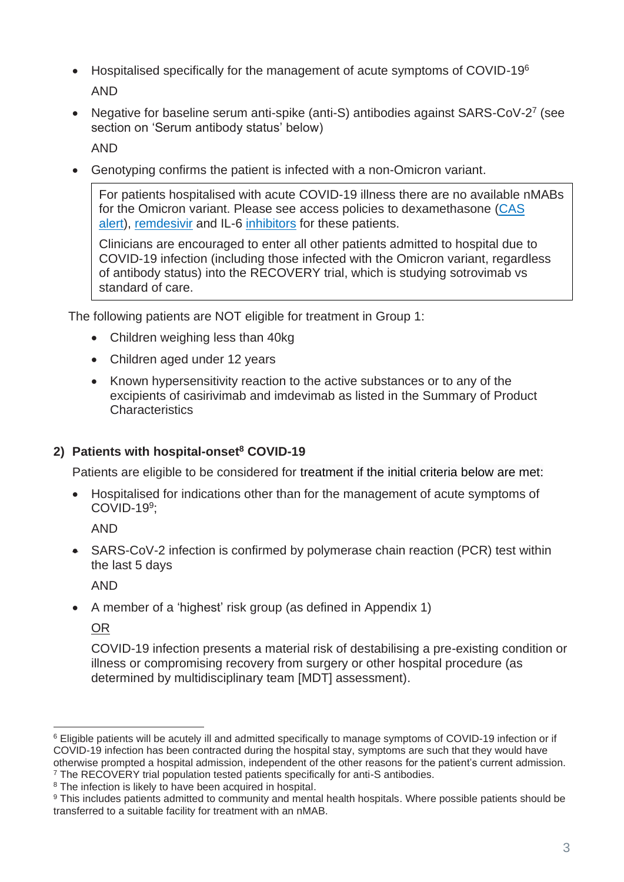- Hospitalised specifically for the management of acute symptoms of COVID-19<sup>6</sup> AND
- Negative for baseline serum anti-spike (anti-S) antibodies against SARS-CoV-2<sup>7</sup> (see section on 'Serum antibody status' below)

AND

• Genotyping confirms the patient is infected with a non-Omicron variant.

For patients hospitalised with acute COVID-19 illness there are no available nMABs for the Omicron variant. Please see access policies to dexamethasone [\(CAS](https://www.cas.mhra.gov.uk/ViewandAcknowledgment/ViewAlert.aspx?AlertID=103092)  [alert\)](https://www.cas.mhra.gov.uk/ViewandAcknowledgment/ViewAlert.aspx?AlertID=103092), [remdesivir](https://www.england.nhs.uk/coronavirus/wp-content/uploads/sites/52/2020/07/C1322-interim-cc-policy-remdesivir-for-people-hospitalised-with-covid-19-v3.pdf) and IL-6 [inhibitors](https://www.cas.mhra.gov.uk/ViewandAcknowledgment/ViewAttachment.aspx?Attachment_id=103833) for these patients.

Clinicians are encouraged to enter all other patients admitted to hospital due to COVID-19 infection (including those infected with the Omicron variant, regardless of antibody status) into the RECOVERY trial, which is studying sotrovimab vs standard of care.

The following patients are NOT eligible for treatment in Group 1:

- Children weighing less than 40kg
- Children aged under 12 years
- Known hypersensitivity reaction to the active substances or to any of the excipients of casirivimab and imdevimab as listed in the Summary of Product **Characteristics**

#### **2) Patients with hospital-onset<sup>8</sup> COVID-19**

Patients are eligible to be considered for treatment if the initial criteria below are met:

• Hospitalised for indications other than for the management of acute symptoms of COVID-19<sup>9</sup> ;

AND

• SARS-CoV-2 infection is confirmed by polymerase chain reaction (PCR) test within the last 5 days

AND

• A member of a 'highest' risk group (as defined in Appendix 1)

OR

COVID-19 infection presents a material risk of destabilising a pre-existing condition or illness or compromising recovery from surgery or other hospital procedure (as determined by multidisciplinary team [MDT] assessment).

<sup>6</sup> Eligible patients will be acutely ill and admitted specifically to manage symptoms of COVID-19 infection or if COVID-19 infection has been contracted during the hospital stay, symptoms are such that they would have otherwise prompted a hospital admission, independent of the other reasons for the patient's current admission. <sup>7</sup> The RECOVERY trial population tested patients specifically for anti-S antibodies.

<sup>&</sup>lt;sup>8</sup> The infection is likely to have been acquired in hospital.

<sup>9</sup> This includes patients admitted to community and mental health hospitals. Where possible patients should be transferred to a suitable facility for treatment with an nMAB.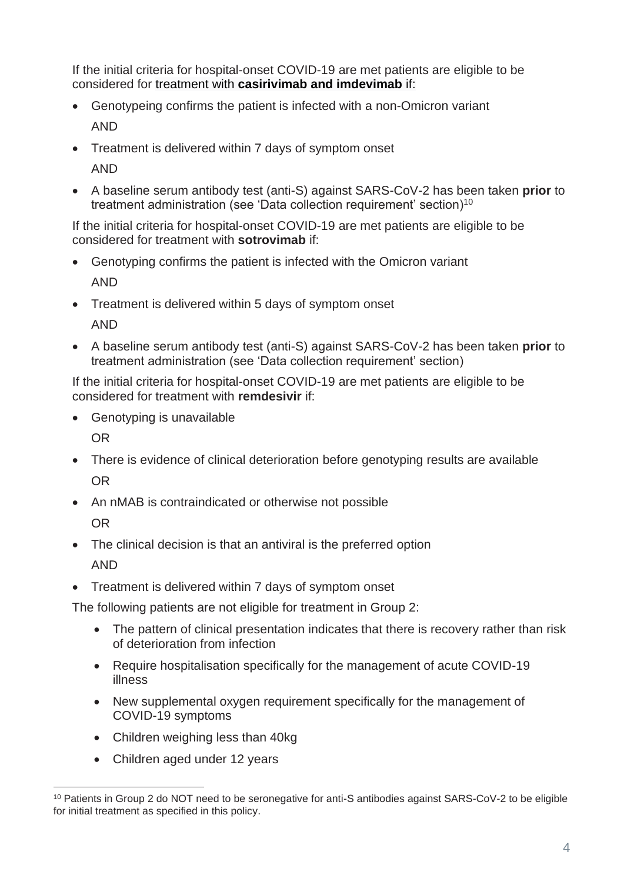If the initial criteria for hospital-onset COVID-19 are met patients are eligible to be considered for treatment with **casirivimab and imdevimab** if:

- Genotypeing confirms the patient is infected with a non-Omicron variant AND
- Treatment is delivered within 7 days of symptom onset AND
- A baseline serum antibody test (anti-S) against SARS-CoV-2 has been taken **prior** to treatment administration (see 'Data collection requirement' section)<sup>10</sup>

If the initial criteria for hospital-onset COVID-19 are met patients are eligible to be considered for treatment with **sotrovimab** if:

- Genotyping confirms the patient is infected with the Omicron variant AND
- Treatment is delivered within 5 days of symptom onset

AND

• A baseline serum antibody test (anti-S) against SARS-CoV-2 has been taken **prior** to treatment administration (see 'Data collection requirement' section)

If the initial criteria for hospital-onset COVID-19 are met patients are eligible to be considered for treatment with **remdesivir** if:

• Genotyping is unavailable

OR

- There is evidence of clinical deterioration before genotyping results are available OR
- An nMAB is contraindicated or otherwise not possible

OR

- The clinical decision is that an antiviral is the preferred option AND
- Treatment is delivered within 7 days of symptom onset

The following patients are not eligible for treatment in Group 2:

- The pattern of clinical presentation indicates that there is recovery rather than risk of deterioration from infection
- Require hospitalisation specifically for the management of acute COVID-19 illness
- New supplemental oxygen requirement specifically for the management of COVID-19 symptoms
- Children weighing less than 40kg
- Children aged under 12 years

<sup>&</sup>lt;sup>10</sup> Patients in Group 2 do NOT need to be seronegative for anti-S antibodies against SARS-CoV-2 to be eligible for initial treatment as specified in this policy.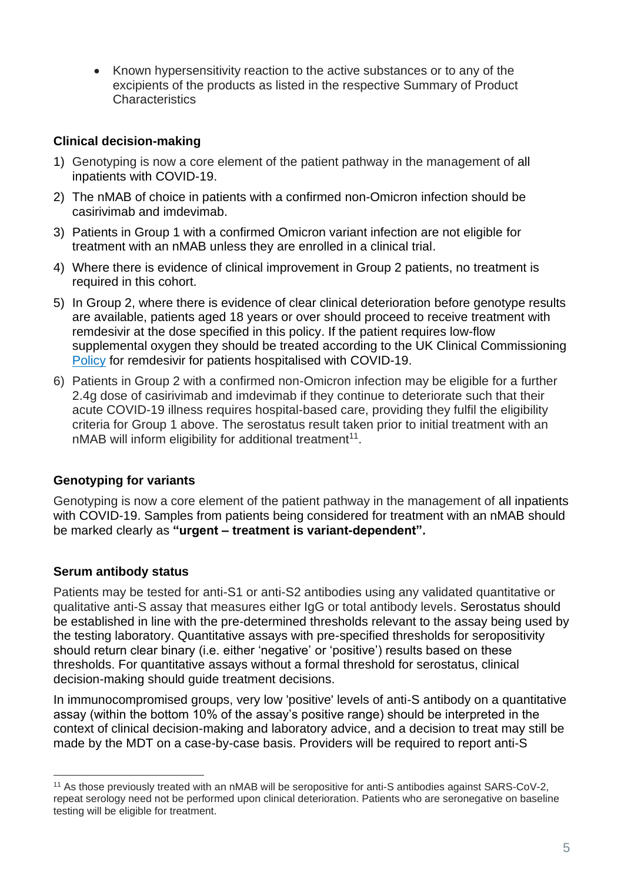• Known hypersensitivity reaction to the active substances or to any of the excipients of the products as listed in the respective Summary of Product **Characteristics** 

#### **Clinical decision-making**

- 1) Genotyping is now a core element of the patient pathway in the management of all inpatients with COVID-19.
- 2) The nMAB of choice in patients with a confirmed non-Omicron infection should be casirivimab and imdevimab.
- 3) Patients in Group 1 with a confirmed Omicron variant infection are not eligible for treatment with an nMAB unless they are enrolled in a clinical trial.
- 4) Where there is evidence of clinical improvement in Group 2 patients, no treatment is required in this cohort.
- 5) In Group 2, where there is evidence of clear clinical deterioration before genotype results are available, patients aged 18 years or over should proceed to receive treatment with remdesivir at the dose specified in this policy. If the patient requires low-flow supplemental oxygen they should be treated according to the UK Clinical Commissioning [Policy](https://www.england.nhs.uk/coronavirus/wp-content/uploads/sites/52/2020/07/C1322-interim-cc-policy-remdesivir-for-people-hospitalised-with-covid-19-v3.pdf) for remdesivir for patients hospitalised with COVID-19.
- 6) Patients in Group 2 with a confirmed non-Omicron infection may be eligible for a further 2.4g dose of casirivimab and imdevimab if they continue to deteriorate such that their acute COVID-19 illness requires hospital-based care, providing they fulfil the eligibility criteria for Group 1 above. The serostatus result taken prior to initial treatment with an  $n$ MAB will inform eligibility for additional treatment<sup>11</sup>.

# **Genotyping for variants**

Genotyping is now a core element of the patient pathway in the management of all inpatients with COVID-19. Samples from patients being considered for treatment with an nMAB should be marked clearly as **"urgent – treatment is variant-dependent".**

#### **Serum antibody status**

Patients may be tested for anti-S1 or anti-S2 antibodies using any validated quantitative or qualitative anti-S assay that measures either IgG or total antibody levels. Serostatus should be established in line with the pre-determined thresholds relevant to the assay being used by the testing laboratory. Quantitative assays with pre-specified thresholds for seropositivity should return clear binary (i.e. either 'negative' or 'positive') results based on these thresholds. For quantitative assays without a formal threshold for serostatus, clinical decision-making should guide treatment decisions.

In immunocompromised groups, very low 'positive' levels of anti-S antibody on a quantitative assay (within the bottom 10% of the assay's positive range) should be interpreted in the context of clinical decision-making and laboratory advice, and a decision to treat may still be made by the MDT on a case-by-case basis. Providers will be required to report anti-S

<sup>11</sup> As those previously treated with an nMAB will be seropositive for anti-S antibodies against SARS-CoV-2, repeat serology need not be performed upon clinical deterioration. Patients who are seronegative on baseline testing will be eligible for treatment.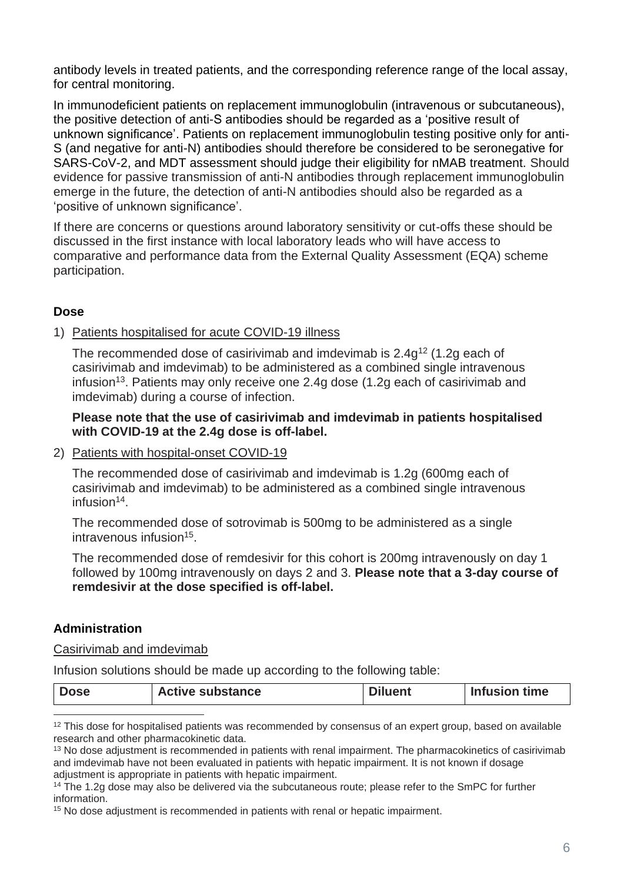antibody levels in treated patients, and the corresponding reference range of the local assay, for central monitoring.

In immunodeficient patients on replacement immunoglobulin (intravenous or subcutaneous), the positive detection of anti-S antibodies should be regarded as a 'positive result of unknown significance'. Patients on replacement immunoglobulin testing positive only for anti-S (and negative for anti-N) antibodies should therefore be considered to be seronegative for SARS-CoV-2, and MDT assessment should judge their eligibility for nMAB treatment. Should evidence for passive transmission of anti-N antibodies through replacement immunoglobulin emerge in the future, the detection of anti-N antibodies should also be regarded as a 'positive of unknown significance'.

If there are concerns or questions around laboratory sensitivity or cut-offs these should be discussed in the first instance with local laboratory leads who will have access to comparative and performance data from the External Quality Assessment (EQA) scheme participation.

#### **Dose**

#### 1) Patients hospitalised for acute COVID-19 illness

The recommended dose of casirivimab and imdevimab is  $2.4g^{12}$  (1.2g each of casirivimab and imdevimab) to be administered as a combined single intravenous infusion<sup>13</sup>. Patients may only receive one 2.4g dose (1.2g each of casirivimab and imdevimab) during a course of infection.

#### **Please note that the use of casirivimab and imdevimab in patients hospitalised with COVID-19 at the 2.4g dose is off-label.**

2) Patients with hospital-onset COVID-19

The recommended dose of casirivimab and imdevimab is 1.2g (600mg each of casirivimab and imdevimab) to be administered as a combined single intravenous infusion<sup>14</sup> .

The recommended dose of sotrovimab is 500mg to be administered as a single intravenous infusion<sup>15</sup>.

The recommended dose of remdesivir for this cohort is 200mg intravenously on day 1 followed by 100mg intravenously on days 2 and 3. **Please note that a 3-day course of remdesivir at the dose specified is off-label.**

#### **Administration**

Casirivimab and imdevimab

Infusion solutions should be made up according to the following table:

| <b>Active substance</b><br>Infusion time<br><b>Dose</b><br>luent |  |
|------------------------------------------------------------------|--|
|------------------------------------------------------------------|--|

<sup>&</sup>lt;sup>12</sup> This dose for hospitalised patients was recommended by consensus of an expert group, based on available research and other pharmacokinetic data.

<sup>&</sup>lt;sup>13</sup> No dose adjustment is recommended in patients with renal impairment. The pharmacokinetics of casirivimab and imdevimab have not been evaluated in patients with hepatic impairment. It is not known if dosage adjustment is appropriate in patients with hepatic impairment.

<sup>&</sup>lt;sup>14</sup> The 1.2g dose may also be delivered via the subcutaneous route; please refer to the SmPC for further information.

<sup>15</sup> No dose adjustment is recommended in patients with renal or hepatic impairment.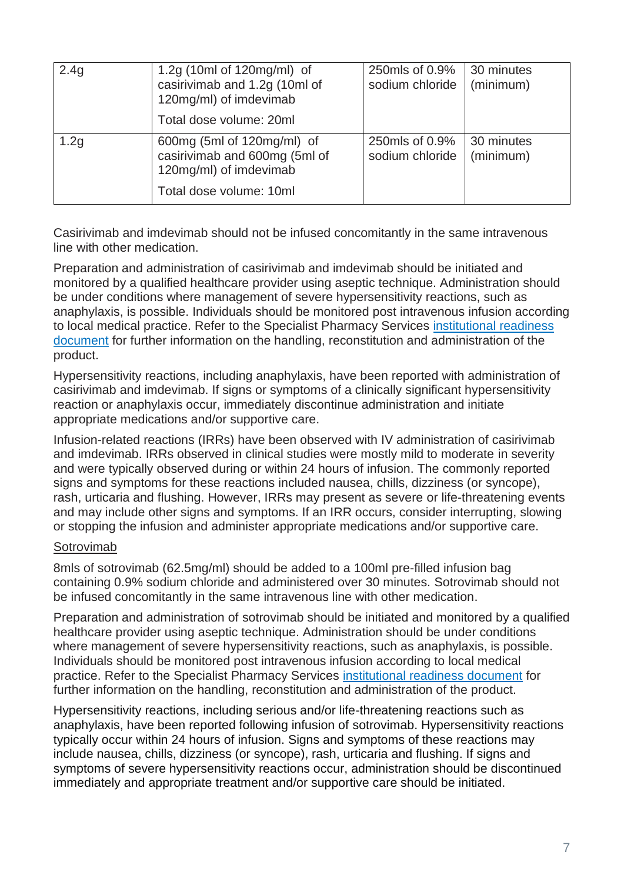| 2.4g             | 1.2g (10ml of 120mg/ml) of<br>casirivimab and 1.2g (10ml of<br>120mg/ml) of imdevimab<br>Total dose volume: 20ml | 250mls of 0.9%<br>sodium chloride | 30 minutes<br>(minimum) |
|------------------|------------------------------------------------------------------------------------------------------------------|-----------------------------------|-------------------------|
| 1.2 <sub>g</sub> | 600mg (5ml of 120mg/ml) of<br>casirivimab and 600mg (5ml of<br>120mg/ml) of imdevimab<br>Total dose volume: 10ml | 250mls of 0.9%<br>sodium chloride | 30 minutes<br>(minimum) |

Casirivimab and imdevimab should not be infused concomitantly in the same intravenous line with other medication.

Preparation and administration of casirivimab and imdevimab should be initiated and monitored by a qualified healthcare provider using aseptic technique. Administration should be under conditions where management of severe hypersensitivity reactions, such as anaphylaxis, is possible. Individuals should be monitored post intravenous infusion according to local medical practice. Refer to the Specialist Pharmacy Services [institutional readiness](https://www.sps.nhs.uk/home/guidance/covid-19-treatments/neutralising-monoclonal-antibodies/casirivimab-and-imdevimab)  [document](https://www.sps.nhs.uk/home/guidance/covid-19-treatments/neutralising-monoclonal-antibodies/casirivimab-and-imdevimab) for further information on the handling, reconstitution and administration of the product.

Hypersensitivity reactions, including anaphylaxis, have been reported with administration of casirivimab and imdevimab. If signs or symptoms of a clinically significant hypersensitivity reaction or anaphylaxis occur, immediately discontinue administration and initiate appropriate medications and/or supportive care.

Infusion-related reactions (IRRs) have been observed with IV administration of casirivimab and imdevimab. IRRs observed in clinical studies were mostly mild to moderate in severity and were typically observed during or within 24 hours of infusion. The commonly reported signs and symptoms for these reactions included nausea, chills, dizziness (or syncope), rash, urticaria and flushing. However, IRRs may present as severe or life-threatening events and may include other signs and symptoms. If an IRR occurs, consider interrupting, slowing or stopping the infusion and administer appropriate medications and/or supportive care.

#### Sotrovimab

8mls of sotrovimab (62.5mg/ml) should be added to a 100ml pre-filled infusion bag containing 0.9% sodium chloride and administered over 30 minutes. Sotrovimab should not be infused concomitantly in the same intravenous line with other medication.

Preparation and administration of sotrovimab should be initiated and monitored by a qualified healthcare provider using aseptic technique. Administration should be under conditions where management of severe hypersensitivity reactions, such as anaphylaxis, is possible. Individuals should be monitored post intravenous infusion according to local medical practice. Refer to the Specialist Pharmacy Services [institutional readiness document](https://www.sps.nhs.uk/home/guidance/covid-19-treatments/neutralising-monoclonal-antibodies/sotrovimab-xevudy/) for further information on the handling, reconstitution and administration of the product.

Hypersensitivity reactions, including serious and/or life-threatening reactions such as anaphylaxis, have been reported following infusion of sotrovimab. Hypersensitivity reactions typically occur within 24 hours of infusion. Signs and symptoms of these reactions may include nausea, chills, dizziness (or syncope), rash, urticaria and flushing. If signs and symptoms of severe hypersensitivity reactions occur, administration should be discontinued immediately and appropriate treatment and/or supportive care should be initiated.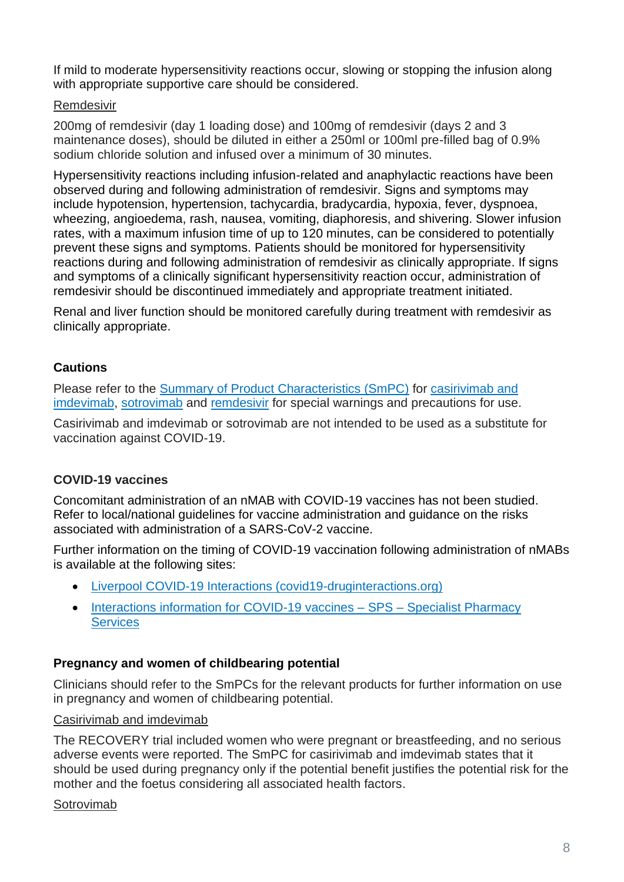If mild to moderate hypersensitivity reactions occur, slowing or stopping the infusion along with appropriate supportive care should be considered.

## Remdesivir

200mg of remdesivir (day 1 loading dose) and 100mg of remdesivir (days 2 and 3 maintenance doses), should be diluted in either a 250ml or 100ml pre-filled bag of 0.9% sodium chloride solution and infused over a minimum of 30 minutes.

Hypersensitivity reactions including infusion-related and anaphylactic reactions have been observed during and following administration of remdesivir. Signs and symptoms may include hypotension, hypertension, tachycardia, bradycardia, hypoxia, fever, dyspnoea, wheezing, angioedema, rash, nausea, vomiting, diaphoresis, and shivering. Slower infusion rates, with a maximum infusion time of up to 120 minutes, can be considered to potentially prevent these signs and symptoms. Patients should be monitored for hypersensitivity reactions during and following administration of remdesivir as clinically appropriate. If signs and symptoms of a clinically significant hypersensitivity reaction occur, administration of remdesivir should be discontinued immediately and appropriate treatment initiated.

Renal and liver function should be monitored carefully during treatment with remdesivir as clinically appropriate.

# **Cautions**

Please refer to the **Summary of Product Characteristics (SmPC)** for casirivimab and [imdevimab,](https://assets.publishing.service.gov.uk/government/uploads/system/uploads/attachment_data/file/1012415/revised-gb-spc-ronapreve-clean-120mg-ml12aug2021docx.pdf) [sotrovimab](https://www.gov.uk/government/publications/regulatory-approval-of-xevudy-sotrovimab/summary-of-product-characteristics-for-xevudy) and [remdesivir](https://www.medicines.org.uk/emc/product/11597/smpc#gref) for special warnings and precautions for use.

Casirivimab and imdevimab or sotrovimab are not intended to be used as a substitute for vaccination against COVID-19.

# **COVID-19 vaccines**

Concomitant administration of an nMAB with COVID-19 vaccines has not been studied. Refer to local/national guidelines for vaccine administration and guidance on the risks associated with administration of a SARS-CoV-2 vaccine.

Further information on the timing of COVID-19 vaccination following administration of nMABs is available at the following sites:

- [Liverpool COVID-19 Interactions \(covid19-druginteractions.org\)](https://www.covid19-druginteractions.org/checker)
- [Interactions information for COVID-19 vaccines –](https://www.sps.nhs.uk/articles/interactions-information-for-covid-19-vaccines/) SPS Specialist Pharmacy **[Services](https://www.sps.nhs.uk/articles/interactions-information-for-covid-19-vaccines/)**

#### **Pregnancy and women of childbearing potential**

Clinicians should refer to the SmPCs for the relevant products for further information on use in pregnancy and women of childbearing potential.

#### Casirivimab and imdevimab

The RECOVERY trial included women who were pregnant or breastfeeding, and no serious adverse events were reported. The SmPC for casirivimab and imdevimab states that it should be used during pregnancy only if the potential benefit justifies the potential risk for the mother and the foetus considering all associated health factors.

#### Sotrovimab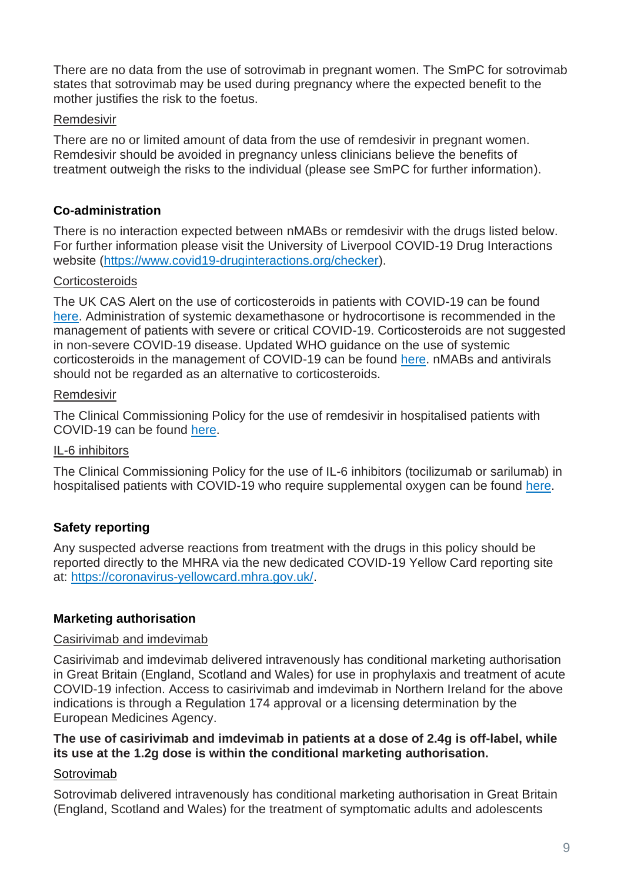There are no data from the use of sotrovimab in pregnant women. The SmPC for sotrovimab states that sotrovimab may be used during pregnancy where the expected benefit to the mother justifies the risk to the foetus.

#### **Remdesivir**

There are no or limited amount of data from the use of remdesivir in pregnant women. Remdesivir should be avoided in pregnancy unless clinicians believe the benefits of treatment outweigh the risks to the individual (please see SmPC for further information).

#### **Co-administration**

There is no interaction expected between nMABs or remdesivir with the drugs listed below. For further information please visit the University of Liverpool COVID-19 Drug Interactions website [\(https://www.covid19-druginteractions.org/checker\)](https://www.covid19-druginteractions.org/checker).

#### **Corticosteroids**

The UK CAS Alert on the use of corticosteroids in patients with COVID-19 can be found [here.](https://www.cas.mhra.gov.uk/ViewandAcknowledgment/ViewAlert.aspx?AlertID=103092) Administration of systemic dexamethasone or hydrocortisone is recommended in the management of patients with severe or critical COVID-19. Corticosteroids are not suggested in non-severe COVID-19 disease. Updated WHO guidance on the use of systemic corticosteroids in the management of COVID-19 can be found [here.](https://www.who.int/publications/i/item/WHO-2019-nCoV-Corticosteroids-2020.1) nMABs and antivirals should not be regarded as an alternative to corticosteroids.

#### Remdesivir

The Clinical Commissioning Policy for the use of remdesivir in hospitalised patients with COVID-19 can be found [here.](https://www.england.nhs.uk/coronavirus/wp-content/uploads/sites/52/2020/07/C1322-interim-cc-policy-remdesivir-for-people-hospitalised-with-covid-19-v3.pdf)

#### IL-6 inhibitors

The Clinical Commissioning Policy for the use of IL-6 inhibitors (tocilizumab or sarilumab) in hospitalised patients with COVID-19 who require supplemental oxygen can be found [here.](https://www.cas.mhra.gov.uk/ViewandAcknowledgment/ViewAttachment.aspx?Attachment_id=103833)

# **Safety reporting**

Any suspected adverse reactions from treatment with the drugs in this policy should be reported directly to the MHRA via the new dedicated COVID-19 Yellow Card reporting site at: [https://coronavirus-yellowcard.mhra.gov.uk/.](https://coronavirus-yellowcard.mhra.gov.uk/)

#### **Marketing authorisation**

#### Casirivimab and imdevimab

Casirivimab and imdevimab delivered intravenously has conditional marketing authorisation in Great Britain (England, Scotland and Wales) for use in prophylaxis and treatment of acute COVID-19 infection. Access to casirivimab and imdevimab in Northern Ireland for the above indications is through a Regulation 174 approval or a licensing determination by the European Medicines Agency.

#### **The use of casirivimab and imdevimab in patients at a dose of 2.4g is off-label, while its use at the 1.2g dose is within the conditional marketing authorisation.**

#### Sotrovimab

Sotrovimab delivered intravenously has conditional marketing authorisation in Great Britain (England, Scotland and Wales) for the treatment of symptomatic adults and adolescents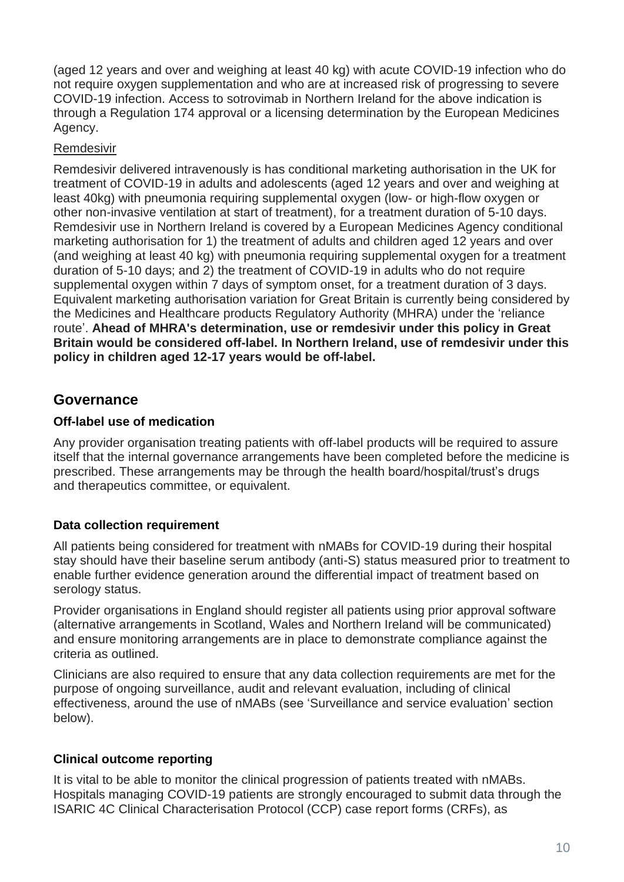(aged 12 years and over and weighing at least 40 kg) with acute COVID-19 infection who do not require oxygen supplementation and who are at increased risk of progressing to severe COVID-19 infection. Access to sotrovimab in Northern Ireland for the above indication is through a Regulation 174 approval or a licensing determination by the European Medicines Agency.

#### Remdesivir

Remdesivir delivered intravenously is has conditional marketing authorisation in the UK for treatment of COVID-19 in adults and adolescents (aged 12 years and over and weighing at least 40kg) with pneumonia requiring supplemental oxygen (low- or high-flow oxygen or other non-invasive ventilation at start of treatment), for a treatment duration of 5-10 days. Remdesivir use in Northern Ireland is covered by a European Medicines Agency conditional marketing authorisation for 1) the treatment of adults and children aged 12 years and over (and weighing at least 40 kg) with pneumonia requiring supplemental oxygen for a treatment duration of 5-10 days; and 2) the treatment of COVID-19 in adults who do not require supplemental oxygen within 7 days of symptom onset, for a treatment duration of 3 days. Equivalent marketing authorisation variation for Great Britain is currently being considered by the Medicines and Healthcare products Regulatory Authority (MHRA) under the 'reliance route'. **Ahead of MHRA's determination, use or remdesivir under this policy in Great Britain would be considered off-label. In Northern Ireland, use of remdesivir under this policy in children aged 12-17 years would be off-label.** 

# **Governance**

#### **Off-label use of medication**

Any provider organisation treating patients with off-label products will be required to assure itself that the internal governance arrangements have been completed before the medicine is prescribed. These arrangements may be through the health board/hospital/trust's drugs and therapeutics committee, or equivalent.

#### **Data collection requirement**

All patients being considered for treatment with nMABs for COVID-19 during their hospital stay should have their baseline serum antibody (anti-S) status measured prior to treatment to enable further evidence generation around the differential impact of treatment based on serology status.

Provider organisations in England should register all patients using prior approval software (alternative arrangements in Scotland, Wales and Northern Ireland will be communicated) and ensure monitoring arrangements are in place to demonstrate compliance against the criteria as outlined.

Clinicians are also required to ensure that any data collection requirements are met for the purpose of ongoing surveillance, audit and relevant evaluation, including of clinical effectiveness, around the use of nMABs (see 'Surveillance and service evaluation' section below).

#### **Clinical outcome reporting**

It is vital to be able to monitor the clinical progression of patients treated with nMABs. Hospitals managing COVID-19 patients are strongly encouraged to submit data through the ISARIC 4C Clinical Characterisation Protocol (CCP) case report forms (CRFs), as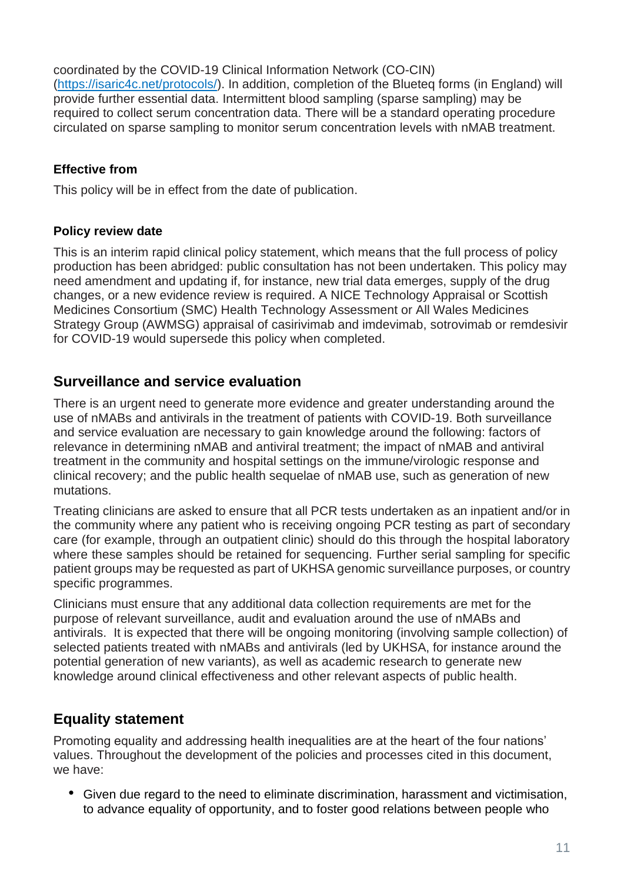coordinated by the COVID-19 Clinical Information Network (CO-CIN) [\(https://isaric4c.net/protocols/\)](https://isaric4c.net/protocols/). In addition, completion of the Blueteq forms (in England) will provide further essential data. Intermittent blood sampling (sparse sampling) may be required to collect serum concentration data. There will be a standard operating procedure circulated on sparse sampling to monitor serum concentration levels with nMAB treatment.

## **Effective from**

This policy will be in effect from the date of publication.

#### **Policy review date**

This is an interim rapid clinical policy statement, which means that the full process of policy production has been abridged: public consultation has not been undertaken. This policy may need amendment and updating if, for instance, new trial data emerges, supply of the drug changes, or a new evidence review is required. A NICE Technology Appraisal or Scottish Medicines Consortium (SMC) Health Technology Assessment or All Wales Medicines Strategy Group (AWMSG) appraisal of casirivimab and imdevimab, sotrovimab or remdesivir for COVID-19 would supersede this policy when completed.

# **Surveillance and service evaluation**

There is an urgent need to generate more evidence and greater understanding around the use of nMABs and antivirals in the treatment of patients with COVID-19. Both surveillance and service evaluation are necessary to gain knowledge around the following: factors of relevance in determining nMAB and antiviral treatment; the impact of nMAB and antiviral treatment in the community and hospital settings on the immune/virologic response and clinical recovery; and the public health sequelae of nMAB use, such as generation of new mutations.

Treating clinicians are asked to ensure that all PCR tests undertaken as an inpatient and/or in the community where any patient who is receiving ongoing PCR testing as part of secondary care (for example, through an outpatient clinic) should do this through the hospital laboratory where these samples should be retained for sequencing. Further serial sampling for specific patient groups may be requested as part of UKHSA genomic surveillance purposes, or country specific programmes.

Clinicians must ensure that any additional data collection requirements are met for the purpose of relevant surveillance, audit and evaluation around the use of nMABs and antivirals. It is expected that there will be ongoing monitoring (involving sample collection) of selected patients treated with nMABs and antivirals (led by UKHSA, for instance around the potential generation of new variants), as well as academic research to generate new knowledge around clinical effectiveness and other relevant aspects of public health.

# **Equality statement**

Promoting equality and addressing health inequalities are at the heart of the four nations' values. Throughout the development of the policies and processes cited in this document, we have:

• Given due regard to the need to eliminate discrimination, harassment and victimisation, to advance equality of opportunity, and to foster good relations between people who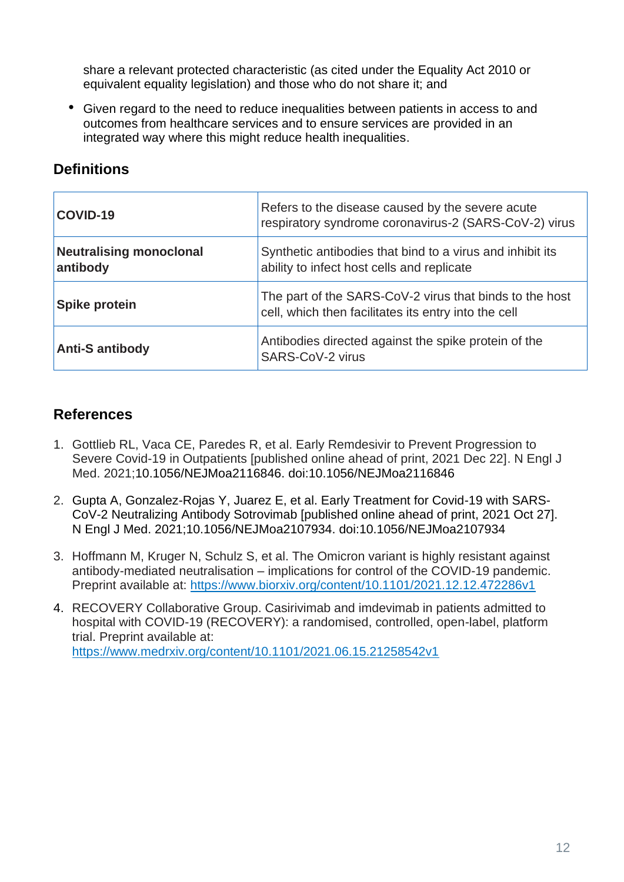share a relevant protected characteristic (as cited under the Equality Act 2010 or equivalent equality legislation) and those who do not share it; and

• Given regard to the need to reduce inequalities between patients in access to and outcomes from healthcare services and to ensure services are provided in an integrated way where this might reduce health inequalities.

# **Definitions**

| COVID-19                                   | Refers to the disease caused by the severe acute<br>respiratory syndrome coronavirus-2 (SARS-CoV-2) virus       |
|--------------------------------------------|-----------------------------------------------------------------------------------------------------------------|
| <b>Neutralising monoclonal</b><br>antibody | Synthetic antibodies that bind to a virus and inhibit its<br>ability to infect host cells and replicate         |
| <b>Spike protein</b>                       | The part of the SARS-CoV-2 virus that binds to the host<br>cell, which then facilitates its entry into the cell |
| <b>Anti-S antibody</b>                     | Antibodies directed against the spike protein of the<br>SARS-CoV-2 virus                                        |

# **References**

- 1. Gottlieb RL, Vaca CE, Paredes R, et al. Early Remdesivir to Prevent Progression to Severe Covid-19 in Outpatients [published online ahead of print, 2021 Dec 22]. N Engl J Med. 2021;10.1056/NEJMoa2116846. doi:10.1056/NEJMoa2116846
- 2. Gupta A, Gonzalez-Rojas Y, Juarez E, et al. Early Treatment for Covid-19 with SARS-CoV-2 Neutralizing Antibody Sotrovimab [published online ahead of print, 2021 Oct 27]. N Engl J Med. 2021;10.1056/NEJMoa2107934. doi:10.1056/NEJMoa2107934
- 3. Hoffmann M, Kruger N, Schulz S, et al. The Omicron variant is highly resistant against antibody-mediated neutralisation – implications for control of the COVID-19 pandemic. Preprint available at:<https://www.biorxiv.org/content/10.1101/2021.12.12.472286v1>
- 4. RECOVERY Collaborative Group. Casirivimab and imdevimab in patients admitted to hospital with COVID-19 (RECOVERY): a randomised, controlled, open-label, platform trial. Preprint available at: <https://www.medrxiv.org/content/10.1101/2021.06.15.21258542v1>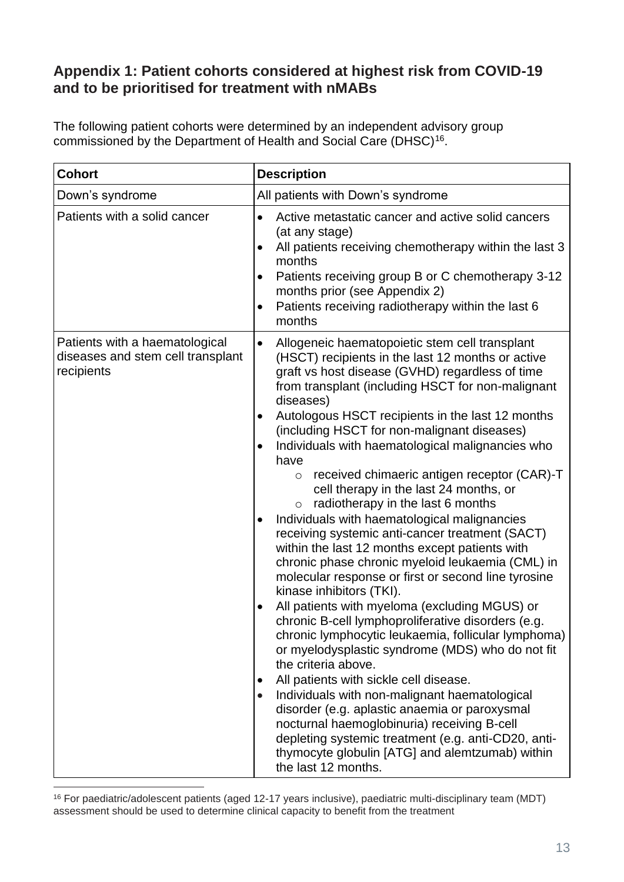# **Appendix 1: Patient cohorts considered at highest risk from COVID-19 and to be prioritised for treatment with nMABs**

The following patient cohorts were determined by an independent advisory group commissioned by the Department of Health and Social Care (DHSC)<sup>16</sup>.

| <b>Cohort</b>                                                                     | <b>Description</b>                                                                                                                                                                                                                                                                                                                                                                                                                                                                                                                                                                                                                                                                                                                                                                                                                                                                                                                                                                                                                                                                                                                                                                                                                                                                                                                                                                                                                                               |
|-----------------------------------------------------------------------------------|------------------------------------------------------------------------------------------------------------------------------------------------------------------------------------------------------------------------------------------------------------------------------------------------------------------------------------------------------------------------------------------------------------------------------------------------------------------------------------------------------------------------------------------------------------------------------------------------------------------------------------------------------------------------------------------------------------------------------------------------------------------------------------------------------------------------------------------------------------------------------------------------------------------------------------------------------------------------------------------------------------------------------------------------------------------------------------------------------------------------------------------------------------------------------------------------------------------------------------------------------------------------------------------------------------------------------------------------------------------------------------------------------------------------------------------------------------------|
| Down's syndrome                                                                   | All patients with Down's syndrome                                                                                                                                                                                                                                                                                                                                                                                                                                                                                                                                                                                                                                                                                                                                                                                                                                                                                                                                                                                                                                                                                                                                                                                                                                                                                                                                                                                                                                |
| Patients with a solid cancer                                                      | Active metastatic cancer and active solid cancers<br>$\bullet$<br>(at any stage)<br>All patients receiving chemotherapy within the last 3<br>٠<br>months<br>Patients receiving group B or C chemotherapy 3-12<br>$\bullet$<br>months prior (see Appendix 2)<br>Patients receiving radiotherapy within the last 6<br>$\bullet$<br>months                                                                                                                                                                                                                                                                                                                                                                                                                                                                                                                                                                                                                                                                                                                                                                                                                                                                                                                                                                                                                                                                                                                          |
| Patients with a haematological<br>diseases and stem cell transplant<br>recipients | Allogeneic haematopoietic stem cell transplant<br>$\bullet$<br>(HSCT) recipients in the last 12 months or active<br>graft vs host disease (GVHD) regardless of time<br>from transplant (including HSCT for non-malignant<br>diseases)<br>Autologous HSCT recipients in the last 12 months<br>(including HSCT for non-malignant diseases)<br>Individuals with haematological malignancies who<br>$\bullet$<br>have<br>received chimaeric antigen receptor (CAR)-T<br>$\circ$<br>cell therapy in the last 24 months, or<br>radiotherapy in the last 6 months<br>$\circ$<br>Individuals with haematological malignancies<br>$\bullet$<br>receiving systemic anti-cancer treatment (SACT)<br>within the last 12 months except patients with<br>chronic phase chronic myeloid leukaemia (CML) in<br>molecular response or first or second line tyrosine<br>kinase inhibitors (TKI).<br>All patients with myeloma (excluding MGUS) or<br>chronic B-cell lymphoproliferative disorders (e.g.<br>chronic lymphocytic leukaemia, follicular lymphoma)<br>or myelodysplastic syndrome (MDS) who do not fit<br>the criteria above.<br>All patients with sickle cell disease.<br>Individuals with non-malignant haematological<br>$\bullet$<br>disorder (e.g. aplastic anaemia or paroxysmal<br>nocturnal haemoglobinuria) receiving B-cell<br>depleting systemic treatment (e.g. anti-CD20, anti-<br>thymocyte globulin [ATG] and alemtzumab) within<br>the last 12 months. |

<sup>16</sup> For paediatric/adolescent patients (aged 12-17 years inclusive), paediatric multi-disciplinary team (MDT) assessment should be used to determine clinical capacity to benefit from the treatment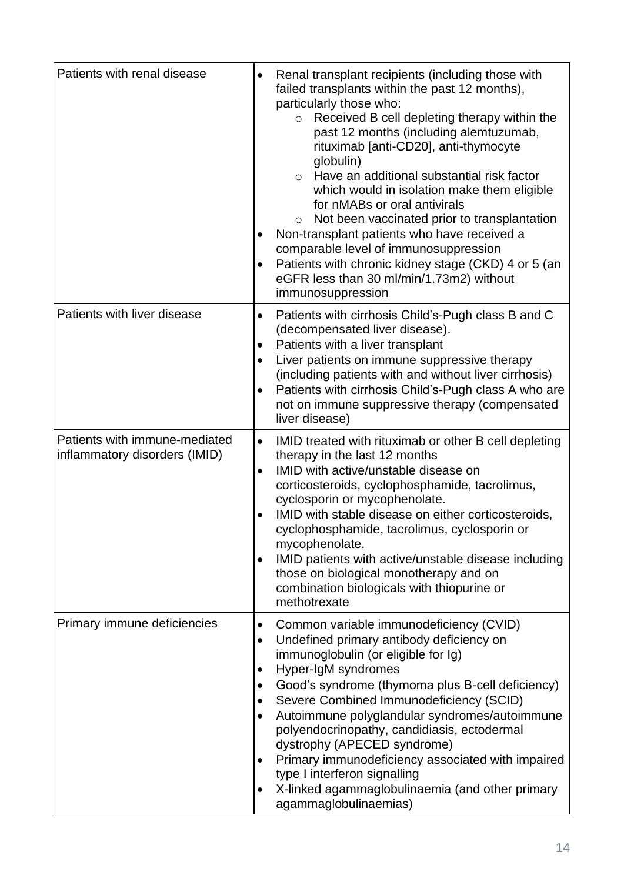| Patients with renal disease                                    | Renal transplant recipients (including those with<br>$\bullet$<br>failed transplants within the past 12 months),<br>particularly those who:<br>Received B cell depleting therapy within the<br>$\circ$<br>past 12 months (including alemtuzumab,<br>rituximab [anti-CD20], anti-thymocyte<br>globulin)<br>Have an additional substantial risk factor<br>$\circ$<br>which would in isolation make them eligible<br>for nMABs or oral antivirals<br>Not been vaccinated prior to transplantation<br>$\circ$<br>Non-transplant patients who have received a<br>comparable level of immunosuppression<br>Patients with chronic kidney stage (CKD) 4 or 5 (an<br>$\bullet$<br>eGFR less than 30 ml/min/1.73m2) without<br>immunosuppression |
|----------------------------------------------------------------|----------------------------------------------------------------------------------------------------------------------------------------------------------------------------------------------------------------------------------------------------------------------------------------------------------------------------------------------------------------------------------------------------------------------------------------------------------------------------------------------------------------------------------------------------------------------------------------------------------------------------------------------------------------------------------------------------------------------------------------|
| Patients with liver disease                                    | Patients with cirrhosis Child's-Pugh class B and C<br>$\bullet$<br>(decompensated liver disease).<br>Patients with a liver transplant<br>٠<br>Liver patients on immune suppressive therapy<br>$\bullet$<br>(including patients with and without liver cirrhosis)<br>Patients with cirrhosis Child's-Pugh class A who are<br>$\bullet$<br>not on immune suppressive therapy (compensated<br>liver disease)                                                                                                                                                                                                                                                                                                                              |
| Patients with immune-mediated<br>inflammatory disorders (IMID) | $\bullet$<br>IMID treated with rituximab or other B cell depleting<br>therapy in the last 12 months<br>IMID with active/unstable disease on<br>$\bullet$<br>corticosteroids, cyclophosphamide, tacrolimus,<br>cyclosporin or mycophenolate.<br>IMID with stable disease on either corticosteroids,<br>cyclophosphamide, tacrolimus, cyclosporin or<br>mycophenolate.<br>IMID patients with active/unstable disease including<br>$\bullet$<br>those on biological monotherapy and on<br>combination biologicals with thiopurine or<br>methotrexate                                                                                                                                                                                      |
| Primary immune deficiencies                                    | Common variable immunodeficiency (CVID)<br>$\bullet$<br>Undefined primary antibody deficiency on<br>٠<br>immunoglobulin (or eligible for Ig)<br>Hyper-IgM syndromes<br>$\bullet$<br>Good's syndrome (thymoma plus B-cell deficiency)<br>٠<br>Severe Combined Immunodeficiency (SCID)<br>٠<br>Autoimmune polyglandular syndromes/autoimmune<br>polyendocrinopathy, candidiasis, ectodermal<br>dystrophy (APECED syndrome)<br>Primary immunodeficiency associated with impaired<br>٠<br>type I interferon signalling<br>X-linked agammaglobulinaemia (and other primary<br>agammaglobulinaemias)                                                                                                                                         |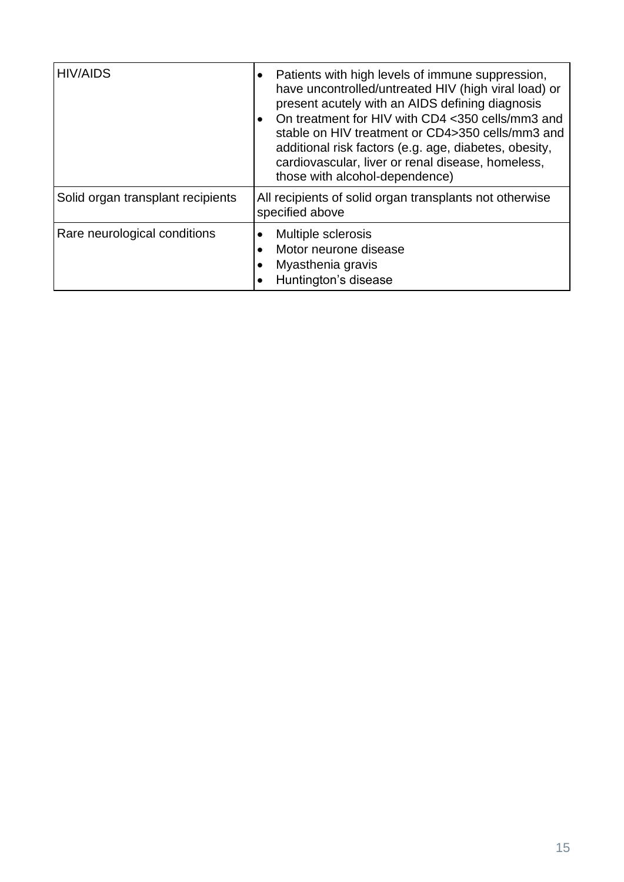| <b>HIV/AIDS</b>                   | Patients with high levels of immune suppression,<br>٠                                                                                                                                                                                                                                                                                                                        |
|-----------------------------------|------------------------------------------------------------------------------------------------------------------------------------------------------------------------------------------------------------------------------------------------------------------------------------------------------------------------------------------------------------------------------|
|                                   | have uncontrolled/untreated HIV (high viral load) or<br>present acutely with an AIDS defining diagnosis<br>On treatment for HIV with CD4 <350 cells/mm3 and<br>$\bullet$<br>stable on HIV treatment or CD4>350 cells/mm3 and<br>additional risk factors (e.g. age, diabetes, obesity,<br>cardiovascular, liver or renal disease, homeless,<br>those with alcohol-dependence) |
| Solid organ transplant recipients | All recipients of solid organ transplants not otherwise<br>specified above                                                                                                                                                                                                                                                                                                   |
| Rare neurological conditions      | Multiple sclerosis<br>Motor neurone disease<br>Myasthenia gravis<br>Huntington's disease                                                                                                                                                                                                                                                                                     |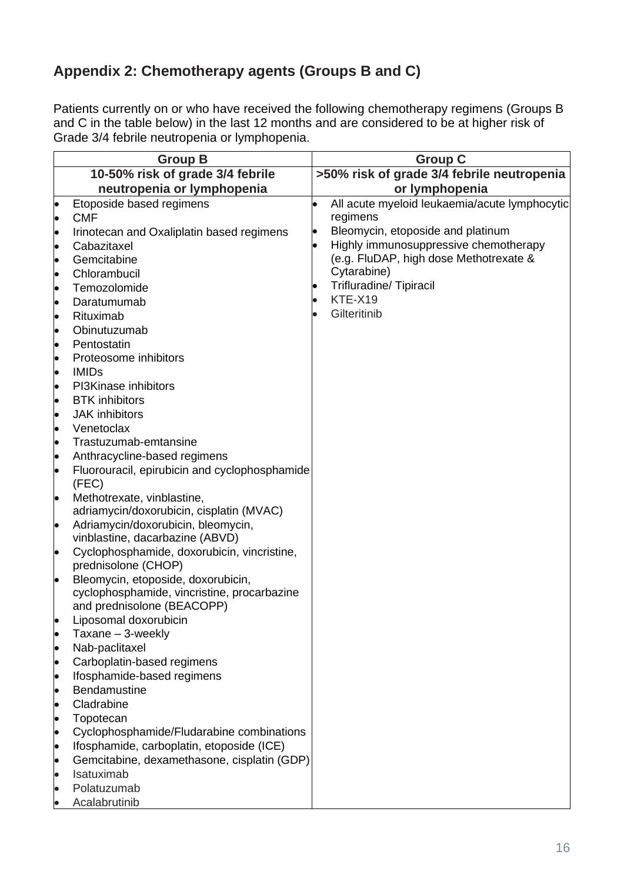# **Appendix 2: Chemotherapy agents (Groups B and C)**

Patients currently on or who have received the following chemotherapy regimens (Groups B and C in the table below) in the last 12 months and are considered to be at higher risk of Grade 3/4 febrile neutropenia or lymphopenia.

|           | <b>Group B</b>                                                                         |                                            | <b>Group C</b>                                |
|-----------|----------------------------------------------------------------------------------------|--------------------------------------------|-----------------------------------------------|
|           | 10-50% risk of grade 3/4 febrile                                                       | >50% risk of grade 3/4 febrile neutropenia |                                               |
|           | neutropenia or lymphopenia                                                             |                                            | or lymphopenia                                |
| $\bullet$ | Etoposide based regimens                                                               |                                            | All acute myeloid leukaemia/acute lymphocytic |
| $\bullet$ | <b>CMF</b>                                                                             |                                            | regimens                                      |
| $\bullet$ | Irinotecan and Oxaliplatin based regimens                                              |                                            | Bleomycin, etoposide and platinum             |
| $\bullet$ | Cabazitaxel                                                                            |                                            | Highly immunosuppressive chemotherapy         |
| $\bullet$ | Gemcitabine                                                                            |                                            | (e.g. FluDAP, high dose Methotrexate &        |
| $\bullet$ | Chlorambucil                                                                           |                                            | Cytarabine)                                   |
| $\bullet$ | Temozolomide                                                                           |                                            | <b>Trifluradine/ Tipiracil</b>                |
| $\bullet$ | Daratumumab                                                                            |                                            | KTE-X19                                       |
| $\bullet$ | Rituximab                                                                              |                                            | Gilteritinib                                  |
| $\bullet$ | Obinutuzumab                                                                           |                                            |                                               |
| $\bullet$ | Pentostatin                                                                            |                                            |                                               |
| $\bullet$ | Proteosome inhibitors                                                                  |                                            |                                               |
| $\bullet$ | <b>IMIDs</b>                                                                           |                                            |                                               |
| $\bullet$ | PI3Kinase inhibitors                                                                   |                                            |                                               |
| $\bullet$ | <b>BTK</b> inhibitors                                                                  |                                            |                                               |
| $\bullet$ | <b>JAK</b> inhibitors                                                                  |                                            |                                               |
| $\bullet$ | Venetoclax                                                                             |                                            |                                               |
| $\bullet$ | Trastuzumab-emtansine                                                                  |                                            |                                               |
| $\bullet$ | Anthracycline-based regimens                                                           |                                            |                                               |
| $\bullet$ | Fluorouracil, epirubicin and cyclophosphamide                                          |                                            |                                               |
|           | (FEC)                                                                                  |                                            |                                               |
| $\bullet$ | Methotrexate, vinblastine,                                                             |                                            |                                               |
|           | adriamycin/doxorubicin, cisplatin (MVAC)                                               |                                            |                                               |
| $\bullet$ | Adriamycin/doxorubicin, bleomycin,<br>vinblastine, dacarbazine (ABVD)                  |                                            |                                               |
| $\bullet$ | Cyclophosphamide, doxorubicin, vincristine,                                            |                                            |                                               |
|           | prednisolone (CHOP)                                                                    |                                            |                                               |
| $\bullet$ | Bleomycin, etoposide, doxorubicin,                                                     |                                            |                                               |
|           | cyclophosphamide, vincristine, procarbazine                                            |                                            |                                               |
|           | and prednisolone (BEACOPP)                                                             |                                            |                                               |
|           | Liposomal doxorubicin                                                                  |                                            |                                               |
|           | Taxane - 3-weekly                                                                      |                                            |                                               |
| $\bullet$ | Nab-paclitaxel                                                                         |                                            |                                               |
| $\bullet$ | Carboplatin-based regimens                                                             |                                            |                                               |
|           | Ifosphamide-based regimens                                                             |                                            |                                               |
| $\bullet$ | <b>Bendamustine</b>                                                                    |                                            |                                               |
| $\bullet$ | Cladrabine                                                                             |                                            |                                               |
|           | Topotecan                                                                              |                                            |                                               |
| $\bullet$ | Cyclophosphamide/Fludarabine combinations<br>Ifosphamide, carboplatin, etoposide (ICE) |                                            |                                               |
| $\bullet$ | Gemcitabine, dexamethasone, cisplatin (GDP)                                            |                                            |                                               |
|           | Isatuximab                                                                             |                                            |                                               |
|           | Polatuzumab                                                                            |                                            |                                               |
|           | Acalabrutinib                                                                          |                                            |                                               |